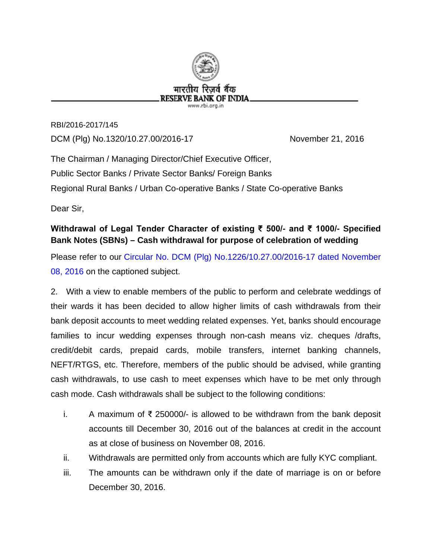

RBI/2016-2017/145 DCM (Plg) No.1320/10.27.00/2016-17 November 21, 2016

The Chairman / Managing Director/Chief Executive Officer, Public Sector Banks / Private Sector Banks/ Foreign Banks Regional Rural Banks / Urban Co-operative Banks / State Co-operative Banks

Dear Sir,

## **Withdrawal of Legal Tender Character of existing ₹ 500/- and ₹ 1000/- Specified Bank Notes (SBNs) – Cash withdrawal for purpose of celebration of wedding**

Please refer to our [Circular No. DCM \(Plg\) No.1226/10.27.00/2016-17 dated November](https://www.rbi.org.in/Scripts/NotificationUser.aspx?Id=10684&Mode=0)  [08, 2016](https://www.rbi.org.in/Scripts/NotificationUser.aspx?Id=10684&Mode=0) on the captioned subject.

2. With a view to enable members of the public to perform and celebrate weddings of their wards it has been decided to allow higher limits of cash withdrawals from their bank deposit accounts to meet wedding related expenses. Yet, banks should encourage families to incur wedding expenses through non-cash means viz. cheques /drafts, credit/debit cards, prepaid cards, mobile transfers, internet banking channels, NEFT/RTGS, etc. Therefore, members of the public should be advised, while granting cash withdrawals, to use cash to meet expenses which have to be met only through cash mode. Cash withdrawals shall be subject to the following conditions:

- i. A maximum of ₹ 250000/- is allowed to be withdrawn from the bank deposit accounts till December 30, 2016 out of the balances at credit in the account as at close of business on November 08, 2016.
- ii. Withdrawals are permitted only from accounts which are fully KYC compliant.
- iii. The amounts can be withdrawn only if the date of marriage is on or before December 30, 2016.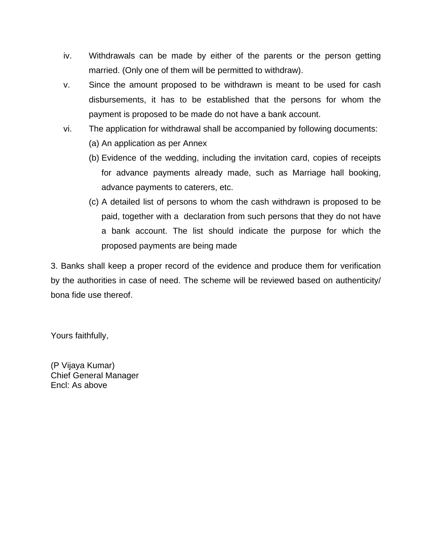- iv. Withdrawals can be made by either of the parents or the person getting married. (Only one of them will be permitted to withdraw).
- v. Since the amount proposed to be withdrawn is meant to be used for cash disbursements, it has to be established that the persons for whom the payment is proposed to be made do not have a bank account.
- vi. The application for withdrawal shall be accompanied by following documents:
	- (a) An application as per Annex
	- (b) Evidence of the wedding, including the invitation card, copies of receipts for advance payments already made, such as Marriage hall booking, advance payments to caterers, etc.
	- (c) A detailed list of persons to whom the cash withdrawn is proposed to be paid, together with a declaration from such persons that they do not have a bank account. The list should indicate the purpose for which the proposed payments are being made

3. Banks shall keep a proper record of the evidence and produce them for verification by the authorities in case of need. The scheme will be reviewed based on authenticity/ bona fide use thereof.

Yours faithfully,

(P Vijaya Kumar) Chief General Manager Encl: As above